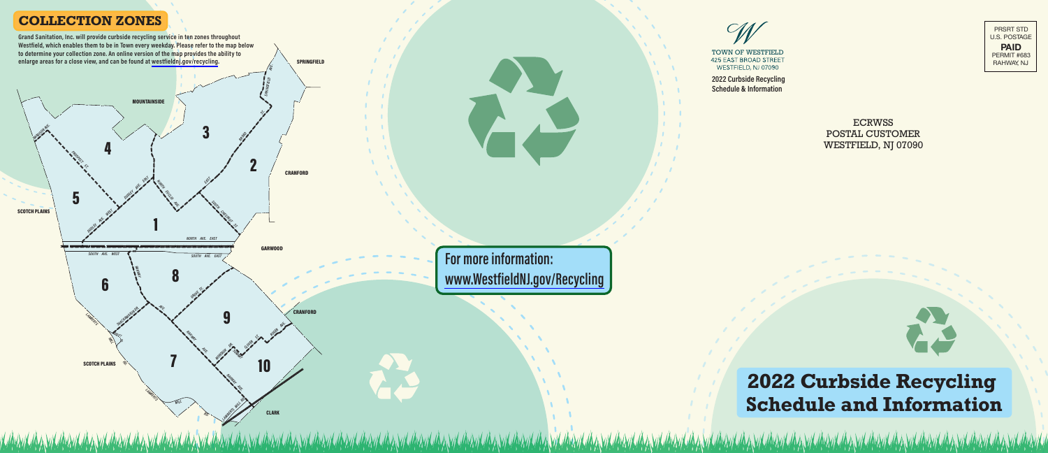

**PA I D** PERMIT #683 R A H WAY, N J

T OWN OF WESTFIELD **425 EAST BROAD STREET** WESTFIELD, NJ 07090

**2022 Curbside Recycling Schedule & Information** 

> EC RWSS POS TAL CUSTOMER WESTFIEL D, NJ 07090



# **2022 Curbside Recycling Schedule and Information**



## **COLLECTION ZONES**

For more information: www.WestfieldNJ.gov/Recycling 1 ŋ 3 4 5 6  $\begin{array}{c} 8 \\ 7 \end{array}$ q 10 RAHUAL M AVE SHACKAMAXONDR SOUTH AVE. WEST **DUDLEY AVE. EAST ROSECTION MADI-SONANE.** NORTH COCCI E<br>V Zr EAST BROMO **CARL STREET** NGFI, ELD AVE, solita Chechules **GARWOOD CRANFORD CRANFORD SPRINGFIELD MOUNTAINSIDE SCOTCH PLAINS** SOUTH AVE. EAST NORTH AVE. EAST **LAMBERTS** RADLEY RD. **LAMBERTS** 亖 Ę. Зġ MI ΙL LAMBERTS MI ILL RD. R), GROVE ST. **PARKWAY CONTRACTOR CONTRACTOR** ╱ CLOVER ST. ROGER AVE. **CLARK SCOTCH PLAINS** Grand Sanitation, Inc. will provide curbside recycling service in ten zones throughout Westfield, which enables them to be in Town every weekday. Please refer to the map below to determine your collection zone. An online version of the map provides the ability to enlarge areas for a close view, and can be found at westfieldnj.gov/recycling.